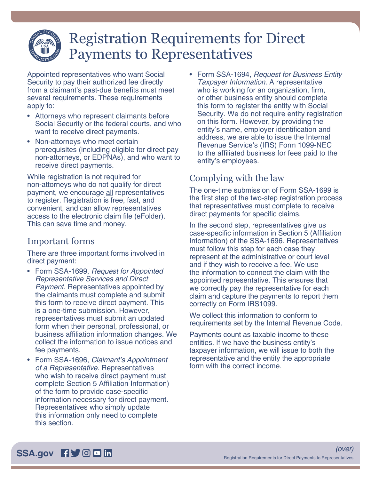# Registration Requirements for Direct Payments to Representatives

Appointed representatives who want Social Security to pay their authorized fee directly from a claimant's past-due benefits must meet several requirements. These requirements apply to:

- Attorneys who represent claimants before Social Security or the federal courts, and who want to receive direct payments.
- Non-attorneys who meet certain prerequisites (including eligible for direct pay non-attorneys, or EDPNAs), and who want to receive direct payments.

While registration is not required for non-attorneys who do not qualify for direct payment, we encourage all representatives to register. Registration is free, fast, and convenient, and can allow representatives access to the electronic claim file (eFolder). This can save time and money.

## Important forms

There are three important forms involved in direct payment:

- Form SSA-1699, *Request for Appointed Representative Services and Direct Payment*. Representatives appointed by the claimants must complete and submit this form to receive direct payment. This is a one-time submission. However, representatives must submit an updated form when their personal, professional, or business affiliation information changes. We collect the information to issue notices and fee payments.
- Form SSA-1696, *Claimant's Appointment of a Representative*. Representatives who wish to receive direct payment must complete Section 5 Affiliation Information) of the form to provide case-specific information necessary for direct payment. Representatives who simply update this information only need to complete this section.

• Form SSA-1694, *Request for Business Entity Taxpayer Information*. A representative who is working for an organization, firm, or other business entity should complete this form to register the entity with Social Security. We do not require entity registration on this form. However, by providing the entity's name, employer identification and address, we are able to issue the Internal Revenue Service's (IRS) Form 1099-NEC to the affiliated business for fees paid to the entity's employees.

# Complying with the law

The one-time submission of Form SSA-1699 is the first step of the two-step registration process that representatives must complete to receive direct payments for specific claims.

In the second step, representatives give us case-specific information in Section 5 (Affiliation Information) of the SSA-1696. Representatives must follow this step for each case they represent at the administrative or court level and if they wish to receive a fee. We use the information to connect the claim with the appointed representative. This ensures that we correctly pay the representative for each claim and capture the payments to report them correctly on Form IRS1099.

We collect this information to conform to requirements set by the Internal Revenue Code.

Payments count as taxable income to these entities. If we have the business entity's taxpayer information, we will issue to both the representative and the entity the appropriate form with the correct income.